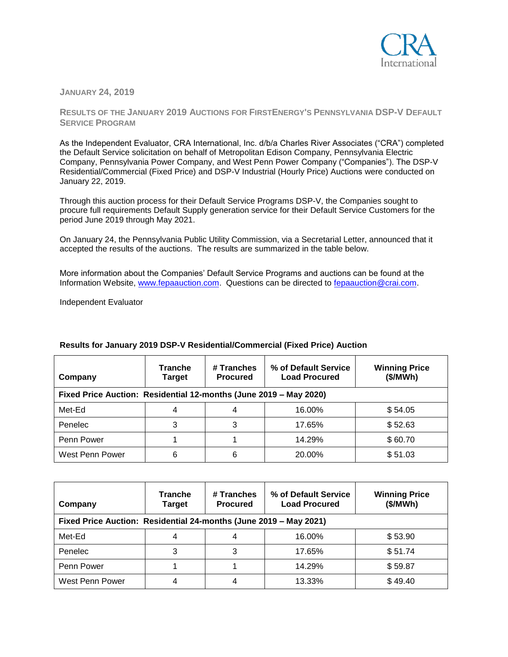

**JANUARY 24, 2019**

**RESULTS OF THE JANUARY 2019 AUCTIONS FOR FIRSTENERGY'S PENNSYLVANIA DSP-V DEFAULT SERVICE PROGRAM**

As the Independent Evaluator, CRA International, Inc. d/b/a Charles River Associates ("CRA") completed the Default Service solicitation on behalf of Metropolitan Edison Company, Pennsylvania Electric Company, Pennsylvania Power Company, and West Penn Power Company ("Companies"). The DSP-V Residential/Commercial (Fixed Price) and DSP-V Industrial (Hourly Price) Auctions were conducted on January 22, 2019.

Through this auction process for their Default Service Programs DSP-V, the Companies sought to procure full requirements Default Supply generation service for their Default Service Customers for the period June 2019 through May 2021.

On January 24, the Pennsylvania Public Utility Commission, via a Secretarial Letter, announced that it accepted the results of the auctions. The results are summarized in the table below.

More information about the Companies' Default Service Programs and auctions can be found at the Information Website, [www.fepaauction.com.](http://www.fepaauction.com/) Questions can be directed to [fepaauction@crai.com.](mailto:fepaauction@crai.com) 

Independent Evaluator

| Company                                                           | <b>Tranche</b><br>Target | # Tranches<br><b>Procured</b> | % of Default Service<br><b>Load Procured</b> | <b>Winning Price</b><br>(\$/MWh) |  |
|-------------------------------------------------------------------|--------------------------|-------------------------------|----------------------------------------------|----------------------------------|--|
| Fixed Price Auction: Residential 12-months (June 2019 - May 2020) |                          |                               |                                              |                                  |  |
| Met-Ed                                                            | 4                        |                               | 16.00%                                       | \$54.05                          |  |
| Penelec                                                           | 3                        | 3                             | 17.65%                                       | \$52.63                          |  |
| Penn Power                                                        |                          |                               | 14.29%                                       | \$60.70                          |  |
| West Penn Power                                                   | 6                        | 6                             | 20.00%                                       | \$51.03                          |  |

## **Results for January 2019 DSP-V Residential/Commercial (Fixed Price) Auction**

| Company                                                           | <b>Tranche</b><br><b>Target</b> | # Tranches<br><b>Procured</b> | % of Default Service<br><b>Load Procured</b> | <b>Winning Price</b><br>(\$/MWh) |
|-------------------------------------------------------------------|---------------------------------|-------------------------------|----------------------------------------------|----------------------------------|
| Fixed Price Auction: Residential 24-months (June 2019 - May 2021) |                                 |                               |                                              |                                  |
| Met-Ed                                                            | 4                               |                               | 16.00%                                       | \$53.90                          |
| Penelec                                                           |                                 |                               | 17.65%                                       | \$51.74                          |
| Penn Power                                                        |                                 |                               | 14.29%                                       | \$59.87                          |
| West Penn Power                                                   |                                 | 4                             | 13.33%                                       | \$49.40                          |